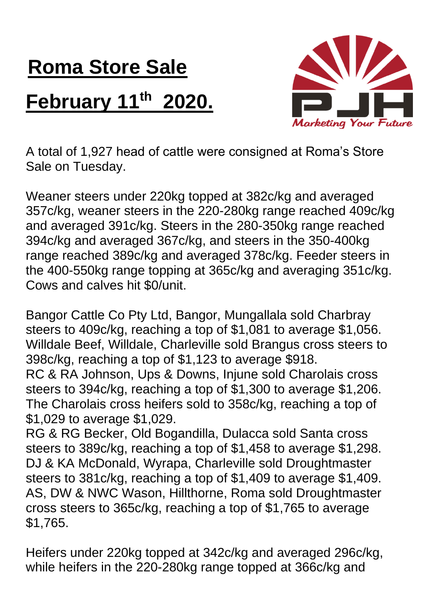## **Roma Store Sale February 11th 2020.**



A total of 1,927 head of cattle were consigned at Roma's Store Sale on Tuesday.

Weaner steers under 220kg topped at 382c/kg and averaged 357c/kg, weaner steers in the 220-280kg range reached 409c/kg and averaged 391c/kg. Steers in the 280-350kg range reached 394c/kg and averaged 367c/kg, and steers in the 350-400kg range reached 389c/kg and averaged 378c/kg. Feeder steers in the 400-550kg range topping at 365c/kg and averaging 351c/kg. Cows and calves hit \$0/unit.

Bangor Cattle Co Pty Ltd, Bangor, Mungallala sold Charbray steers to 409c/kg, reaching a top of \$1,081 to average \$1,056. Willdale Beef, Willdale, Charleville sold Brangus cross steers to 398c/kg, reaching a top of \$1,123 to average \$918. RC & RA Johnson, Ups & Downs, Injune sold Charolais cross steers to 394c/kg, reaching a top of \$1,300 to average \$1,206. The Charolais cross heifers sold to 358c/kg, reaching a top of \$1,029 to average \$1,029.

RG & RG Becker, Old Bogandilla, Dulacca sold Santa cross steers to 389c/kg, reaching a top of \$1,458 to average \$1,298. DJ & KA McDonald, Wyrapa, Charleville sold Droughtmaster steers to 381c/kg, reaching a top of \$1,409 to average \$1,409. AS, DW & NWC Wason, Hillthorne, Roma sold Droughtmaster cross steers to 365c/kg, reaching a top of \$1,765 to average \$1,765.

Heifers under 220kg topped at 342c/kg and averaged 296c/kg, while heifers in the 220-280kg range topped at 366c/kg and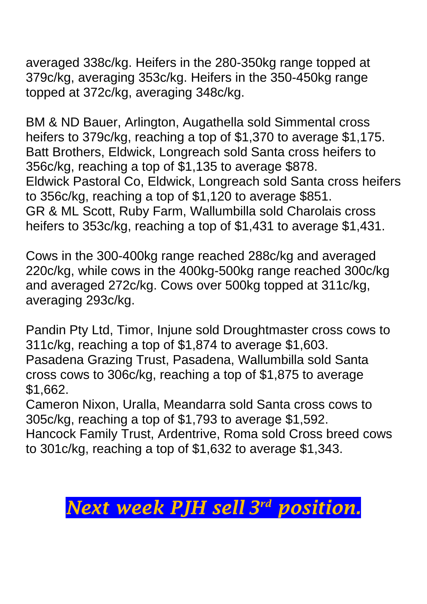averaged 338c/kg. Heifers in the 280-350kg range topped at 379c/kg, averaging 353c/kg. Heifers in the 350-450kg range topped at 372c/kg, averaging 348c/kg.

BM & ND Bauer, Arlington, Augathella sold Simmental cross heifers to 379c/kg, reaching a top of \$1,370 to average \$1,175. Batt Brothers, Eldwick, Longreach sold Santa cross heifers to 356c/kg, reaching a top of \$1,135 to average \$878. Eldwick Pastoral Co, Eldwick, Longreach sold Santa cross heifers to 356c/kg, reaching a top of \$1,120 to average \$851. GR & ML Scott, Ruby Farm, Wallumbilla sold Charolais cross heifers to 353c/kg, reaching a top of \$1,431 to average \$1,431.

Cows in the 300-400kg range reached 288c/kg and averaged 220c/kg, while cows in the 400kg-500kg range reached 300c/kg and averaged 272c/kg. Cows over 500kg topped at 311c/kg, averaging 293c/kg.

Pandin Pty Ltd, Timor, Injune sold Droughtmaster cross cows to 311c/kg, reaching a top of \$1,874 to average \$1,603. Pasadena Grazing Trust, Pasadena, Wallumbilla sold Santa cross cows to 306c/kg, reaching a top of \$1,875 to average \$1,662.

Cameron Nixon, Uralla, Meandarra sold Santa cross cows to 305c/kg, reaching a top of \$1,793 to average \$1,592. Hancock Family Trust, Ardentrive, Roma sold Cross breed cows to 301c/kg, reaching a top of \$1,632 to average \$1,343.

## *Next week PJH sell 3 rd position.*